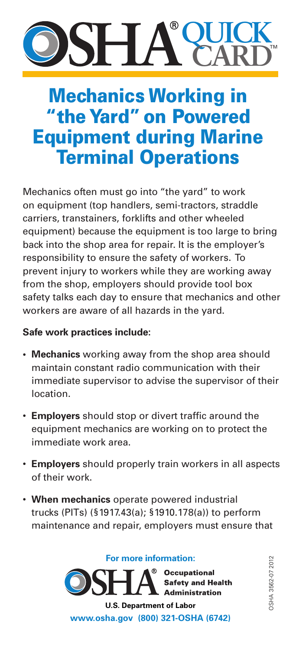### **QUICK SHZ CARD**

# Mechanics Working in "the Yard" on Powered Equipment during Marine Terminal Operations

Mechanics often must go into "the yard" to work on equipment (top handlers, semi-tractors, straddle carriers, transtainers, forklifts and other wheeled equipment) because the equipment is too large to bring back into the shop area for repair. It is the employer's responsibility to ensure the safety of workers. To prevent injury to workers while they are working away from the shop, employers should provide tool box safety talks each day to ensure that mechanics and other workers are aware of all hazards in the yard.

### **Safe work practices include:**

- **• Mechanics** working away from the shop area should maintain constant radio communication with their immediate supervisor to advise the supervisor of their location.
- • **Employers** should stop or divert traffic around the equipment mechanics are working on to protect the immediate work area.
- • **Employers** should properly train workers in all aspects of their work.
- • **When mechanics** operate powered industrial trucks (PITs) (§1917.43(a); §1910.178(a)) to perform maintenance and repair, employers must ensure that

**For more information:**

**Occupational Safety and Health Administration** 

**U.S. Department of Labor www.osha.gov (800) 321-OSHA (6742)**